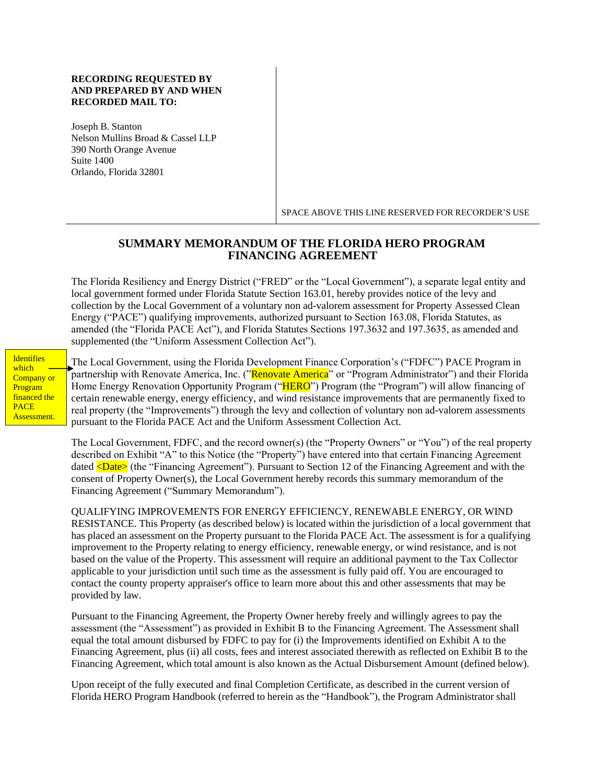#### **RECORDING REQUESTED BY AND PREPARED BY AND WHEN RECORDED MAIL TO:**

Joseph B. Stanton Nelson Mullins Broad & Cassel LLP 390 North Orange Avenue Suite 1400 Orlando, Florida 32801

SPACE ABOVE THIS LINE RESERVED FOR RECORDER'S USE

# **SUMMARY MEMORANDUM OF THE FLORIDA HERO PROGRAM FINANCING AGREEMENT**

The Florida Resiliency and Energy District ("FRED" or the "Local Government"), a separate legal entity and local government formed under Florida Statute Section 163.01, hereby provides notice of the levy and collection by the Local Government of a voluntary non ad-valorem assessment for Property Assessed Clean Energy ("PACE") qualifying improvements, authorized pursuant to Section 163.08, Florida Statutes, as amended (the "Florida PACE Act"), and Florida Statutes Sections 197.3632 and 197.3635, as amended and supplemented (the "Uniform Assessment Collection Act").

**Identifies** which Company or Program financed the PACE Assessment.

The Local Government, using the Florida Development Finance Corporation's ("FDFC") PACE Program in partnership with Renovate America, Inc. ("Renovate America" or "Program Administrator") and their Florida Home Energy Renovation Opportunity Program ("HERO") Program (the "Program") will allow financing of certain renewable energy, energy efficiency, and wind resistance improvements that are permanently fixed to real property (the "Improvements") through the levy and collection of voluntary non ad-valorem assessments pursuant to the Florida PACE Act and the Uniform Assessment Collection Act.

The Local Government, FDFC, and the record owner(s) (the "Property Owners" or "You") of the real property described on Exhibit "A" to this Notice (the "Property") have entered into that certain Financing Agreement dated  $\langle$ **Date>** (the "Financing Agreement"). Pursuant to Section 12 of the Financing Agreement and with the consent of Property Owner(s), the Local Government hereby records this summary memorandum of the Financing Agreement ("Summary Memorandum").

QUALIFYING IMPROVEMENTS FOR ENERGY EFFICIENCY, RENEWABLE ENERGY, OR WIND RESISTANCE. This Property (as described below) is located within the jurisdiction of a local government that has placed an assessment on the Property pursuant to the Florida PACE Act. The assessment is for a qualifying improvement to the Property relating to energy efficiency, renewable energy, or wind resistance, and is not based on the value of the Property. This assessment will require an additional payment to the Tax Collector applicable to your jurisdiction until such time as the assessment is fully paid off. You are encouraged to contact the county property appraiser's office to learn more about this and other assessments that may be provided by law.

Pursuant to the Financing Agreement, the Property Owner hereby freely and willingly agrees to pay the assessment (the "Assessment") as provided in Exhibit B to the Financing Agreement. The Assessment shall equal the total amount disbursed by FDFC to pay for (i) the Improvements identified on Exhibit A to the Financing Agreement, plus (ii) all costs, fees and interest associated therewith as reflected on Exhibit B to the Financing Agreement, which total amount is also known as the Actual Disbursement Amount (defined below).

Upon receipt of the fully executed and final Completion Certificate, as described in the current version of Florida HERO Program Handbook (referred to herein as the "Handbook"), the Program Administrator shall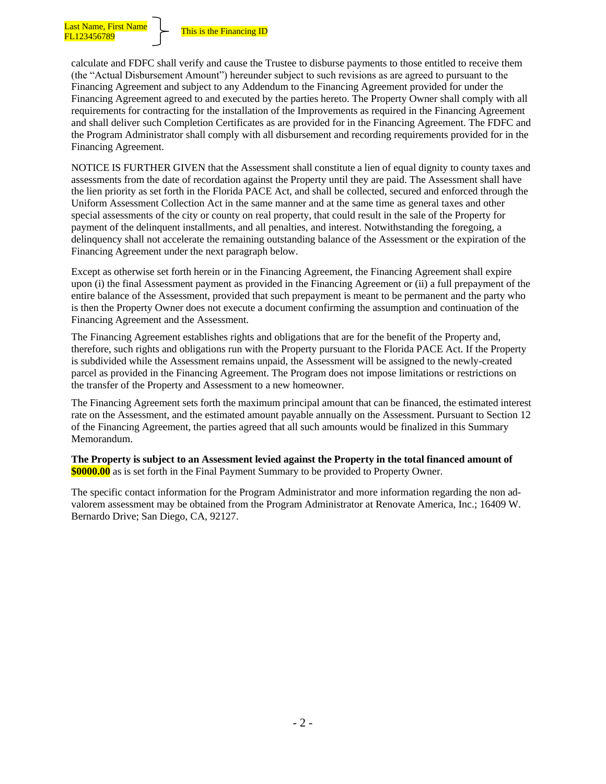calculate and FDFC shall verify and cause the Trustee to disburse payments to those entitled to receive them (the "Actual Disbursement Amount") hereunder subject to such revisions as are agreed to pursuant to the Financing Agreement and subject to any Addendum to the Financing Agreement provided for under the Financing Agreement agreed to and executed by the parties hereto. The Property Owner shall comply with all requirements for contracting for the installation of the Improvements as required in the Financing Agreement and shall deliver such Completion Certificates as are provided for in the Financing Agreement. The FDFC and the Program Administrator shall comply with all disbursement and recording requirements provided for in the Financing Agreement.

NOTICE IS FURTHER GIVEN that the Assessment shall constitute a lien of equal dignity to county taxes and assessments from the date of recordation against the Property until they are paid. The Assessment shall have the lien priority as set forth in the Florida PACE Act, and shall be collected, secured and enforced through the Uniform Assessment Collection Act in the same manner and at the same time as general taxes and other special assessments of the city or county on real property, that could result in the sale of the Property for payment of the delinquent installments, and all penalties, and interest. Notwithstanding the foregoing, a delinquency shall not accelerate the remaining outstanding balance of the Assessment or the expiration of the Financing Agreement under the next paragraph below.

Except as otherwise set forth herein or in the Financing Agreement, the Financing Agreement shall expire upon (i) the final Assessment payment as provided in the Financing Agreement or (ii) a full prepayment of the entire balance of the Assessment, provided that such prepayment is meant to be permanent and the party who is then the Property Owner does not execute a document confirming the assumption and continuation of the Financing Agreement and the Assessment.

The Financing Agreement establishes rights and obligations that are for the benefit of the Property and, therefore, such rights and obligations run with the Property pursuant to the Florida PACE Act. If the Property is subdivided while the Assessment remains unpaid, the Assessment will be assigned to the newly-created parcel as provided in the Financing Agreement. The Program does not impose limitations or restrictions on the transfer of the Property and Assessment to a new homeowner.

The Financing Agreement sets forth the maximum principal amount that can be financed, the estimated interest rate on the Assessment, and the estimated amount payable annually on the Assessment. Pursuant to Section 12 of the Financing Agreement, the parties agreed that all such amounts would be finalized in this Summary Memorandum.

**The Property is subject to an Assessment levied against the Property in the total financed amount of \$0000.00** as is set forth in the Final Payment Summary to be provided to Property Owner.

The specific contact information for the Program Administrator and more information regarding the non advalorem assessment may be obtained from the Program Administrator at Renovate America, Inc.; 16409 W. Bernardo Drive; San Diego, CA, 92127.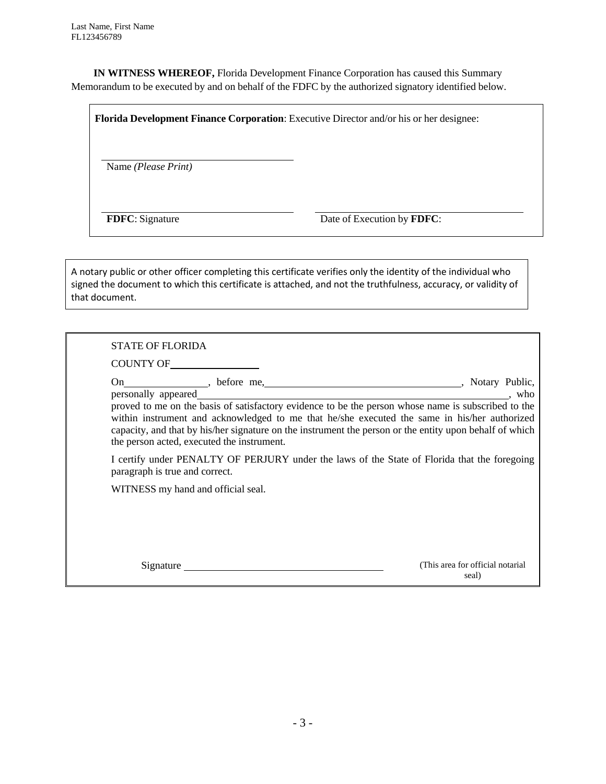**IN WITNESS WHEREOF,** Florida Development Finance Corporation has caused this Summary Memorandum to be executed by and on behalf of the FDFC by the authorized signatory identified below.

**Florida Development Finance Corporation**: Executive Director and/or his or her designee:

Name *(Please Print)*

**FDFC**: Signature Date of Execution by **FDFC**:

A notary public or other officer completing this certificate verifies only the identity of the individual who signed the document to which this certificate is attached, and not the truthfulness, accuracy, or validity of that document.

| <b>STATE OF FLORIDA</b><br>COUNTY OF       |                                                                                                                                                                                                                                                                                                                |
|--------------------------------------------|----------------------------------------------------------------------------------------------------------------------------------------------------------------------------------------------------------------------------------------------------------------------------------------------------------------|
| the person acted, executed the instrument. | proved to me on the basis of satisfactory evidence to be the person whose name is subscribed to the<br>within instrument and acknowledged to me that he/she executed the same in his/her authorized<br>capacity, and that by his/her signature on the instrument the person or the entity upon behalf of which |
| paragraph is true and correct.             | I certify under PENALTY OF PERJURY under the laws of the State of Florida that the foregoing                                                                                                                                                                                                                   |
| WITNESS my hand and official seal.         |                                                                                                                                                                                                                                                                                                                |
|                                            |                                                                                                                                                                                                                                                                                                                |
| Signature                                  | (This area for official notarial)<br>seal)                                                                                                                                                                                                                                                                     |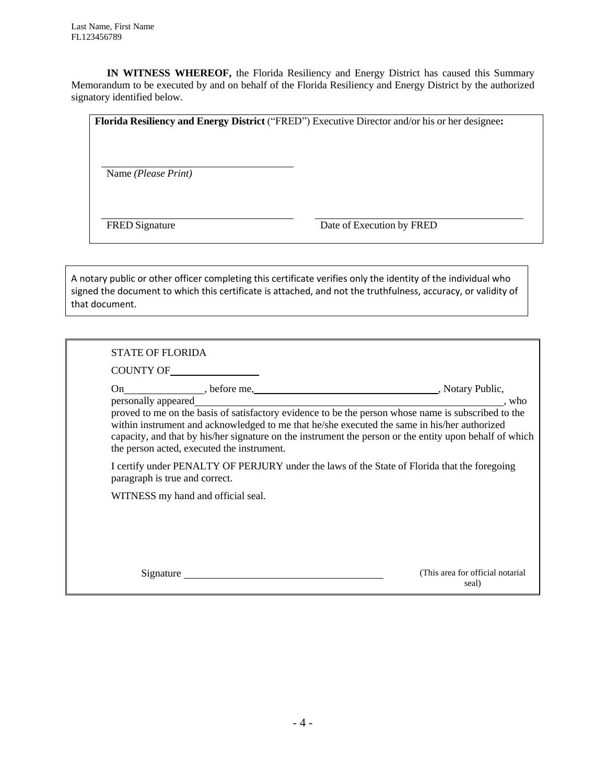**IN WITNESS WHEREOF,** the Florida Resiliency and Energy District has caused this Summary Memorandum to be executed by and on behalf of the Florida Resiliency and Energy District by the authorized signatory identified below.

| Florida Resiliency and Energy District ("FRED") Executive Director and/or his or her designee: |                           |  |  |  |
|------------------------------------------------------------------------------------------------|---------------------------|--|--|--|
| Name (Please Print)                                                                            |                           |  |  |  |
| <b>FRED</b> Signature                                                                          | Date of Execution by FRED |  |  |  |

A notary public or other officer completing this certificate verifies only the identity of the individual who signed the document to which this certificate is attached, and not the truthfulness, accuracy, or validity of that document.

| <b>STATE OF FLORIDA</b> |                                                                                                                                |                                                                                                                                                                                                                                                                                                                                                |  |  |
|-------------------------|--------------------------------------------------------------------------------------------------------------------------------|------------------------------------------------------------------------------------------------------------------------------------------------------------------------------------------------------------------------------------------------------------------------------------------------------------------------------------------------|--|--|
|                         |                                                                                                                                |                                                                                                                                                                                                                                                                                                                                                |  |  |
|                         | the person acted, executed the instrument.                                                                                     | personally appeared<br>proved to me on the basis of satisfactory evidence to be the person whose name is subscribed to the<br>, who<br>within instrument and acknowledged to me that he/she executed the same in his/her authorized<br>capacity, and that by his/her signature on the instrument the person or the entity upon behalf of which |  |  |
|                         | I certify under PENALTY OF PERJURY under the laws of the State of Florida that the foregoing<br>paragraph is true and correct. |                                                                                                                                                                                                                                                                                                                                                |  |  |
|                         | WITNESS my hand and official seal.                                                                                             |                                                                                                                                                                                                                                                                                                                                                |  |  |
|                         |                                                                                                                                |                                                                                                                                                                                                                                                                                                                                                |  |  |
|                         | Signature                                                                                                                      | (This area for official notarial)<br>seal)                                                                                                                                                                                                                                                                                                     |  |  |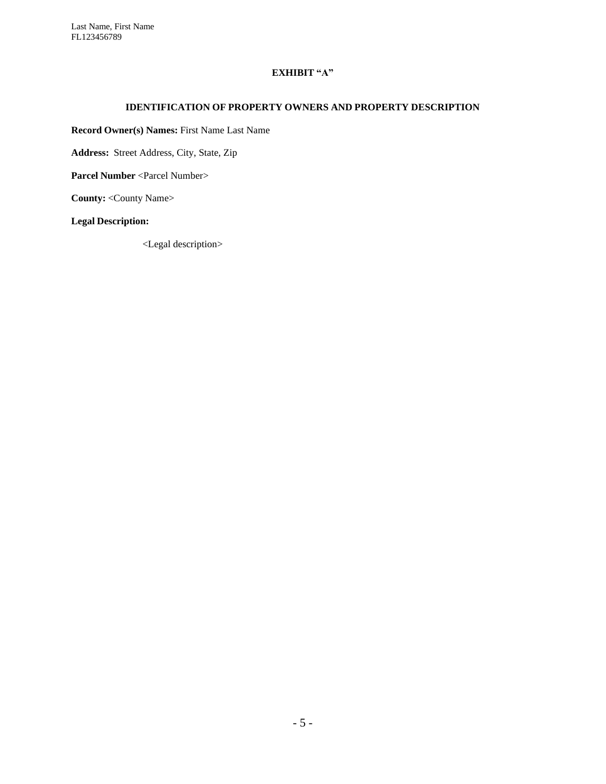Last Name, First Name FL123456789

### **EXHIBIT "A"**

#### **IDENTIFICATION OF PROPERTY OWNERS AND PROPERTY DESCRIPTION**

**Record Owner(s) Names:** First Name Last Name

**Address:** Street Address, City, State, Zip

**Parcel Number** <Parcel Number>

**County:** <County Name>

**Legal Description:**

<Legal description>